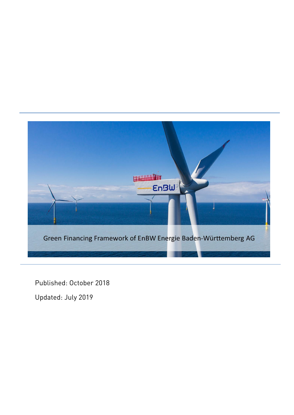

Published: October 2018

Updated: July 2019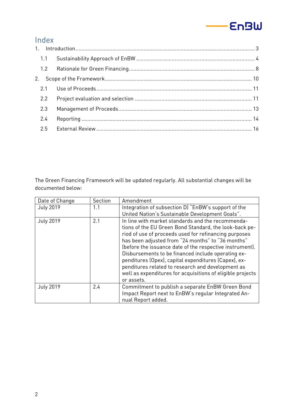#### **EnBW**

# Index

| 1.1           |  |
|---------------|--|
|               |  |
|               |  |
| 2.1           |  |
| $2.2^{\circ}$ |  |
| 2.3           |  |
| 2.4           |  |
| 2.5           |  |

The Green Financing Framework will be updated regularly. All substantial changes will be documented below:

| Date of Change   | Section | Amendment                                                  |
|------------------|---------|------------------------------------------------------------|
| <b>July 2019</b> | 1.1     | Integration of subsection D) "EnBW's support of the        |
|                  |         | United Nation's Sustainable Development Goals".            |
| <b>July 2019</b> | 2.1     | In line with market standards and the recommenda-          |
|                  |         | tions of the EU Green Bond Standard, the look-back pe-     |
|                  |         | riod of use of proceeds used for refinancing purposes      |
|                  |         | has been adjusted from "24 months" to "36 months"          |
|                  |         | (before the issuance date of the respective instrument).   |
|                  |         | Disbursements to be financed include operating ex-         |
|                  |         | penditures (Opex), capital expenditures (Capex), ex-       |
|                  |         | penditures related to research and development as          |
|                  |         | well as expenditures for acquisitions of eligible projects |
|                  |         | or assets.                                                 |
| <b>July 2019</b> | 2.4     | Commitment to publish a separate EnBW Green Bond           |
|                  |         | Impact Report next to EnBW's regular Integrated An-        |
|                  |         | nual Report added.                                         |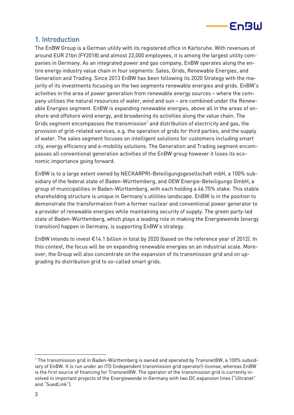

# <span id="page-2-0"></span>1. Introduction

The EnBW Group is a German utility with its registered office in Karlsruhe. With revenues of around EUR 21bn (FY2018) and almost 22,000 employees, it is among the largest utility companies in Germany. As an integrated power and gas company, EnBW operates along the entire energy industry value chain in four segments: Sales, Grids, Renewable Energies, and Generation and Trading. Since 2013 EnBW has been following its 2020 Strategy with the majority of its investments focusing on the two segments renewable energies and grids. EnBW's activities in the area of power generation from renewable energy sources – where the company utilises the natural resources of water, wind and sun – are combined under the Renewable Energies segment. EnBW is expanding renewable energies, above all in the areas of onshore and offshore wind energy, and broadening its activities along the value chain. The Grids segment encompasses the transmission $^1$  and distribution of electricity and gas, the provision of grid-related services, e.g. the operation of grids for third parties, and the supply of water. The sales segment focuses on intelligent solutions for customers including smart city, energy efficiency and e-mobility solutions. The Generation and Trading segment encompasses all conventional generation activities of the EnBW group however it loses its economic importance going forward.

EnBW is to a large extent owned by NECKARPRI-Beteiligungsgesellschaft mbH, a 100% subsidiary of the federal state of Baden-Württemberg, and OEW Energie-Beteiligungs GmbH, a group of municipalities in Baden-Württemberg, with each holding a 46.75% stake. This stable shareholding structure is unique in Germany's utilities landscape. EnBW is in the position to demonstrate the transformation from a former nuclear and conventional power generator to a provider of renewable energies while maintaining security of supply. The green party-led state of Baden-Württemberg, which plays a leading role in making the Energiewende (energy transition) happen in Germany, is supporting EnBW's strategy.

EnBW intends to invest €14.1 billion in total by 2020 (based on the reference year of 2012). In this context, the focus will be on expanding renewable energies on an industrial scale. Moreover, the Group will also concentrate on the expansion of its transmission grid and on upgrading its distribution grid to so-called smart grids.

<sup>-</sup> $1$  The transmission grid in Baden-Württemberg is owned and operated by TransnetBW, a 100% subsidiary of EnBW. It is run under an ITO (independent transmission grid operator)-license, whereas EnBW is the first source of financing for TransnetBW. The operator of the transmission grid is currently involved in important projects of the Energiewende in Germany with two DC expansion lines ("Ultranet" and "SuedLink").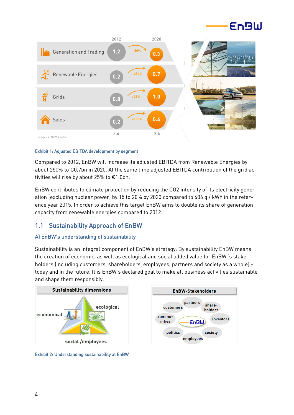



#### Exhibit 1: Adjusted EBITDA development by segment

Compared to 2012, EnBW will increase its adjusted EBITDA from Renewable Energies by about 250% to €0.7bn in 2020. At the same time adjusted EBITDA contribution of the grid activities will rise by about 25% to €1.0bn.

EnBW contributes to climate protection by reducing the CO2 intensity of its electricity generation (excluding nuclear power) by 15 to 20% by 2020 compared to 606 g / kWh in the reference year 2015. In order to achieve this target EnBW aims to double its share of generation capacity from renewable energies compared to 2012.

### <span id="page-3-0"></span>1.1 Sustainability Approach of EnBW

### A) EnBW's understanding of sustainability

Sustainability is an integral component of EnBW's strategy. By sustainability EnBW means the creation of economic, as well as ecological and social added value for EnBW´s stakeholders (including customers, shareholders, employees, partners and society as a whole) today and in the future. It is EnBW's declared goal to make all business activities sustainable and shape them responsibly.



Exhibit 2: Understanding sustainability at EnBW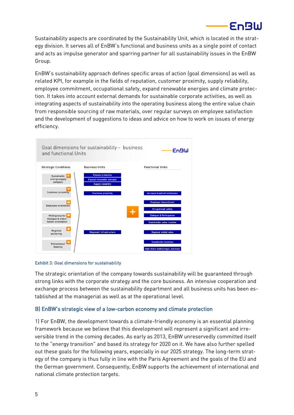

Sustainability aspects are coordinated by the Sustainability Unit, which is located in the strategy division. It serves all of EnBW's functional and business units as a single point of contact and acts as impulse generator and sparring partner for all sustainability issues in the EnBW Group.

EnBW's sustainability approach defines specific areas of action (goal dimensions) as well as related KPI, for example in the fields of reputation, customer proximity, supply reliability, employee commitment, occupational safety, expand renewable energies and climate protection. It takes into account external demands for sustainable corporate activities, as well as integrating aspects of sustainability into the operating business along the entire value chain from responsible sourcing of raw materials, over regular surveys on employee satisfaction and the development of suggestions to ideas and advice on how to work on issues of energy efficiency.



#### Exhibit 3: Goal dimensions for sustainability

The strategic orientation of the company towards sustainability will be guaranteed through strong links with the corporate strategy and the core business. An intensive cooperation and exchange process between the sustainability department and all business units has been established at the managerial as well as at the operational level.

#### B) EnBW's strategic view of a low-carbon economy and climate protection

1) For EnBW, the development towards a climate-friendly economy is an essential planning framework because we believe that this development will represent a significant and irreversible trend in the coming decades. As early as 2013, EnBW unreservedly committed itself to the "energy transition" and based its strategy for 2020 on it. We have also further spelled out these goals for the following years, especially in our 2025 strategy. The long-term strategy of the company is thus fully in line with the Paris Agreement and the goals of the EU and the German government. Consequently, EnBW supports the achievement of international and national climate protection targets.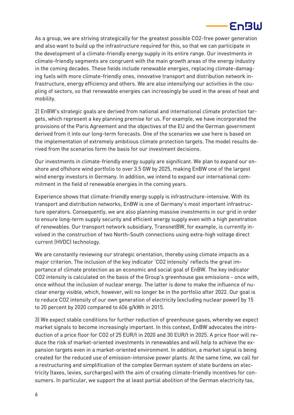

As a group, we are striving strategically for the greatest possible CO2-free power generation and also want to build up the infrastructure required for this, so that we can participate in the development of a climate-friendly energy supply in its entire range. Our investments in climate-friendly segments are congruent with the main growth areas of the energy industry in the coming decades. These fields include renewable energies, replacing climate-damaging fuels with more climate-friendly ones, innovative transport and distribution network infrastructure, energy efficiency and others. We are also intensifying our activities in the coupling of sectors, so that renewable energies can increasingly be used in the areas of heat and mobility.

2) EnBW's strategic goals are derived from national and international climate protection targets, which represent a key planning premise for us. For example, we have incorporated the provisions of the Paris Agreement and the objectives of the EU and the German government derived from it into our long-term forecasts. One of the scenarios we use here is based on the implementation of extremely ambitious climate protection targets. The model results derived from the scenarios form the basis for our investment decisions.

Our investments in climate-friendly energy supply are significant. We plan to expand our onshore and offshore wind portfolio to over 3.5 GW by 2025, making EnBW one of the largest wind energy investors in Germany. In addition, we intend to expand our international commitment in the field of renewable energies in the coming years.

Experience shows that climate-friendly energy supply is infrastructure-intensive. With its transport and distribution networks, EnBW is one of Germany's most important infrastructure operators. Consequently, we are also planning massive investments in our grid in order to ensure long-term supply security and efficient energy supply even with a high penetration of renewables. Our transport network subsidiary, TransnetBW, for example, is currently involved in the construction of two North-South connections using extra-high voltage direct current (HVDC) technology.

We are constantly reviewing our strategic orientation, thereby using climate impacts as a major criterion. The inclusion of the key indicator 'CO2 intensity' reflects the great importance of climate protection as an economic and social goal of EnBW. The key indicator CO2 intensity is calculated on the basis of the Group's greenhouse gas emissions - once with, once without the inclusion of nuclear energy. The latter is done to make the influence of nuclear energy visible, which, however, will no longer be in the portfolio after 2022. Our goal is to reduce CO2 intensity of our own generation of electricity (excluding nuclear power) by 15 to 20 percent by 2020 compared to 606 g/kWh in 2015.

3) We expect stable conditions for further reduction of greenhouse gases, whereby we expect market signals to become increasingly important. In this context, EnBW advocates the introduction of a price floor for CO2 of 25 EUR/t in 2020 and 30 EUR/t in 2025. A price floor will reduce the risk of market-oriented investments in renewables and will help to achieve the expansion targets even in a market-oriented environment. In addition, a market signal is being created for the reduced use of emission-intensive power plants. At the same time, we call for a restructuring and simplification of the complex German system of state burdens on electricity (taxes, levies, surcharges) with the aim of creating climate-friendly incentives for consumers. In particular, we support the at least partial abolition of the German electricity tax,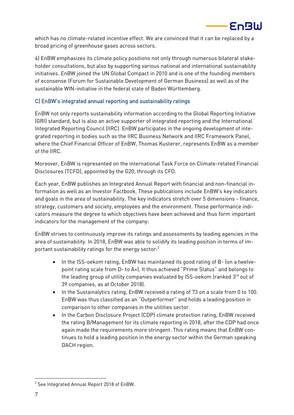

which has no climate-related incentive effect. We are convinced that it can be replaced by a broad pricing of greenhouse gases across sectors.

4) EnBW emphasizes its climate policy positions not only through numerous bilateral stakeholder consultations, but also by supporting various national and international sustainability initiatives. EnBW joined the UN Global Compact in 2010 and is one of the founding members of econsense (Forum for Sustainable Development of German Business) as well as of the sustainable WIN-initiative in the federal state of Baden Württemberg.

### C) EnBW's integrated annual reporting and sustainability ratings

EnBW not only reports sustainability information according to the Global Reporting Initiative (GRI) standard, but is also an active supporter of integrated reporting and the International Integrated Reporting Council (IIRC). EnBW participates in the ongoing development of integrated reporting in bodies such as the IIRC Business Network and IIRC Framework Panel, where the Chief Financial Officer of EnBW, Thomas Kusterer, represents EnBW as a member of the IIRC.

Moreover, EnBW is represented on the international Task Force on Climate-related Financial Disclosures (TCFD), appointed by the G20, through its CFO.

Each year, EnBW publishes an Integrated Annual Report with financial and non-financial information as well as an Investor Factbook. These publications include EnBW's key indicators and goals in the area of sustainability. The key indicators stretch over 5 dimensions - finance, strategy, customers and society, employees and the environment. These performance indicators measure the degree to which objectives have been achieved and thus form important indicators for the management of the company:

EnBW strives to continuously improve its ratings and assessments by leading agencies in the area of sustainability. In 2018, EnBW was able to solidify its leading position in terms of important sustainability ratings for the energy sector:<sup>2</sup>

- In the ISS-oekom rating, EnBW has maintained its good rating of B- (on a twelvepoint rating scale from D- to A+). It thus achieved "Prime Status" and belongs to the leading group of utility companies evaluated by ISS-oekom (ranked  $3<sup>rd</sup>$  out of 39 companies, as at October 2018).
- In the Sustainalytics rating, EnBW received a rating of 73 on a scale from 0 to 100. EnBW was thus classified as an "Outperformer" and holds a leading position in comparison to other companies in the utilities sector.
- In the Carbon Disclosure Project (CDP) climate protection rating, EnBW received the rating B/Management for its climate reporting in 2018, after the CDP had once again made the requirements more stringent. This rating means that EnBW continues to hold a leading position in the energy sector within the German speaking DACH region.

-

<sup>2</sup> See Integrated Annual Report 2018 of EnBW.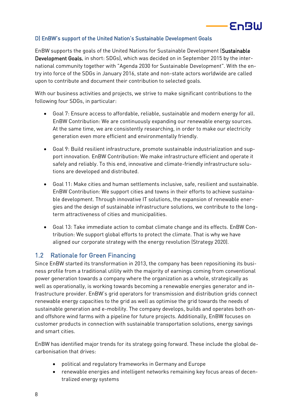# **EnBW**

### D) EnBW's support of the United Nation's Sustainable Development Goals

EnBW supports the goals of the United Nations for Sustainable Development [\(Sustainable](https://www.un.org/sustainabledevelopment/sustainable-development-goals/)  [Development Goals,](https://www.un.org/sustainabledevelopment/sustainable-development-goals/) in short: SDGs), which was decided on in September 2015 by the international community together with "Agenda 2030 for Sustainable Development". With the entry into force of the SDGs in January 2016, state and non-state actors worldwide are called upon to contribute and document their contribution to selected goals.

With our business activities and projects, we strive to make significant contributions to the following four SDGs, in particular:

- Goal 7: Ensure access to affordable, reliable, sustainable and modern energy for all. EnBW Contribution: We are continuously expanding our renewable energy sources. At the same time, we are consistently researching, in order to make our electricity generation even more efficient and environmentally friendly.
- Goal 9: Build resilient infrastructure, promote sustainable industrialization and support innovation. EnBW Contribution: We make infrastructure efficient and operate it safely and reliably. To this end, innovative and climate-friendly infrastructure solutions are developed and distributed.
- Goal 11: Make cities and human settlements inclusive, safe, resilient and sustainable. EnBW Contribution: We support cities and towns in their efforts to achieve sustainable development. Through innovative IT solutions, the expansion of renewable energies and the design of sustainable infrastructure solutions, we contribute to the longterm attractiveness of cities and municipalities.
- Goal 13: Take immediate action to combat climate change and its effects. EnBW Contribution: We support global efforts to protect the climate. That is why we have aligned our corporate strategy with the energy revolution (Strategy 2020).

### <span id="page-7-0"></span>1.2 Rationale for Green Financing

Since EnBW started its transformation in 2013, the company has been repositioning its business profile from a traditional utility with the majority of earnings coming from conventional power generation towards a company where the organization as a whole, strategically as well as operationally, is working towards becoming a renewable energies generator and infrastructure provider. EnBW's grid operators for transmission and distribution grids connect renewable energy capacities to the grid as well as optimise the grid towards the needs of sustainable generation and e-mobility. The company develops, builds and operates both onand offshore wind farms with a pipeline for future projects. Additionally, EnBW focuses on customer products in connection with sustainable transportation solutions, energy savings and smart cities.

EnBW has identified major trends for its strategy going forward. These include the global decarbonisation that drives:

- political and regulatory frameworks in Germany and Europe
- renewable energies and intelligent networks remaining key focus areas of decentralized energy systems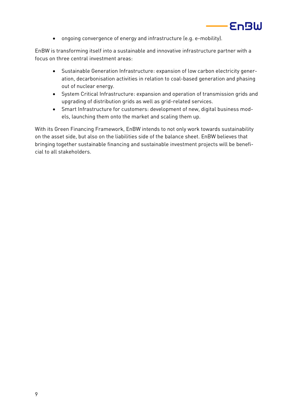

• ongoing convergence of energy and infrastructure (e.g. e-mobility).

EnBW is transforming itself into a sustainable and innovative infrastructure partner with a focus on three central investment areas:

- Sustainable Generation Infrastructure: expansion of low carbon electricity generation, decarbonisation activities in relation to coal-based generation and phasing out of nuclear energy.
- System Critical Infrastructure: expansion and operation of transmission grids and upgrading of distribution grids as well as grid-related services.
- Smart Infrastructure for customers: development of new, digital business models, launching them onto the market and scaling them up.

With its Green Financing Framework, EnBW intends to not only work towards sustainability on the asset side, but also on the liabilities side of the balance sheet. EnBW believes that bringing together sustainable financing and sustainable investment projects will be beneficial to all stakeholders.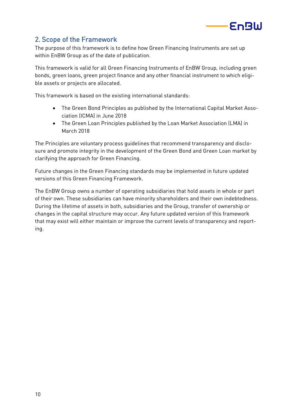

# <span id="page-9-0"></span>2. Scope of the Framework

The purpose of this framework is to define how Green Financing Instruments are set up within EnBW Group as of the date of publication.

This framework is valid for all Green Financing Instruments of EnBW Group, including green bonds, green loans, green project finance and any other financial instrument to which eligible assets or projects are allocated.

This framework is based on the existing international standards:

- The Green Bond Principles as published by the International Capital Market Association (ICMA) in June 2018
- The Green Loan Principles published by the Loan Market Association (LMA) in March 2018

The Principles are voluntary process guidelines that recommend transparency and disclosure and promote integrity in the development of the Green Bond and Green Loan market by clarifying the approach for Green Financing.

Future changes in the Green Financing standards may be implemented in future updated versions of this Green Financing Framework.

The EnBW Group owns a number of operating subsidiaries that hold assets in whole or part of their own. These subsidiaries can have minority shareholders and their own indebtedness. During the lifetime of assets in both, subsidiaries and the Group, transfer of ownership or changes in the capital structure may occur. Any future updated version of this framework that may exist will either maintain or improve the current levels of transparency and reporting.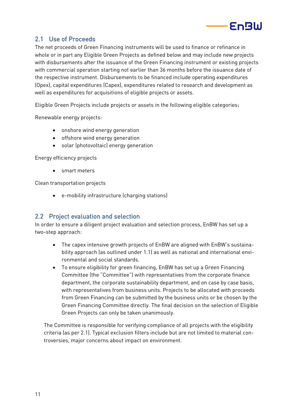

# <span id="page-10-0"></span>2.1 Use of Proceeds

The net proceeds of Green Financing instruments will be used to finance or refinance in whole or in part any Eligible Green Projects as defined below and may include new projects with disbursements after the issuance of the Green Financing instrument or existing projects with commercial operation starting not earlier than 36 months before the issuance date of the respective instrument. Disbursements to be financed include operating expenditures (Opex), capital expenditures (Capex), expenditures related to research and development as well as expenditures for acquisitions of eligible projects or assets.

Eligible Green Projects include projects or assets in the following eligible categories:

Renewable energy projects:

- onshore wind energy generation
- offshore wind energy generation
- solar (photovoltaic) energy generation

Energy efficiency projects

• smart meters

Clean transportation projects

• e-mobility infrastructure (charging stations)

### <span id="page-10-1"></span>2.2 Project evaluation and selection

In order to ensure a diligent project evaluation and selection process, EnBW has set up a two-step approach:

- The capex intensive growth projects of EnBW are aligned with EnBW's sustainability approach (as outlined under 1.1) as well as national and international environmental and social standards.
- To ensure eligibility for green financing, EnBW has set up a Green Financing Committee (the "Committee") with representatives from the corporate finance department, the corporate sustainability department, and on case by case basis, with representatives from business units. Projects to be allocated with proceeds from Green Financing can be submitted by the business units or be chosen by the Green Financing Committee directly. The final decision on the selection of Eligible Green Projects can only be taken unanimously.

The Committee is responsible for verifying compliance of all projects with the eligibility criteria (as per 2.1). Typical exclusion filters include but are not limited to material controversies, major concerns about impact on environment.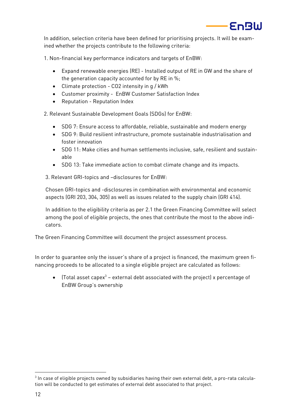

In addition, selection criteria have been defined for prioritising projects. It will be examined whether the projects contribute to the following criteria:

1. Non-financial key performance indicators and targets of EnBW:

- Expand renewable energies (RE) Installed output of RE in GW and the share of the generation capacity accounted for by RE in %;
- Climate protection CO2 intensity in g / kWh
- Customer proximity EnBW Customer Satisfaction Index
- Reputation Reputation Index

2. Relevant Sustainable Development Goals (SDGs) for EnBW:

- SDG 7: Ensure access to affordable, reliable, sustainable and modern energy
- SDG 9: Build resilient infrastructure, promote sustainable industrialisation and foster innovation
- SDG 11: Make cities and human settlements inclusive, safe, resilient and sustainable
- SDG 13: Take immediate action to combat climate change and its impacts.

3. Relevant GRI-topics and –disclosures for EnBW:

Chosen GRI-topics and -disclosures in combination with environmental and economic aspects (GRI 203, 304, 305) as well as issues related to the supply chain (GRI 414).

In addition to the eligibility criteria as per 2.1 the Green Financing Committee will select among the pool of eligible projects, the ones that contribute the most to the above indicators.

The Green Financing Committee will document the project assessment process.

In order to guarantee only the issuer's share of a project is financed, the maximum green financing proceeds to be allocated to a single eligible project are calculated as follows:

• (Total asset capex $3$  – external debt associated with the project) x percentage of EnBW Group's ownership

-

 $^{\rm 3}$  In case of eligible projects owned by subsidiaries having their own external debt, a pro-rata calculation will be conducted to get estimates of external debt associated to that project.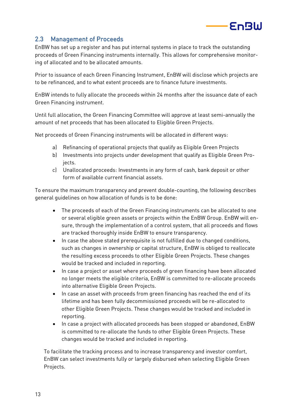

# <span id="page-12-0"></span>2.3 Management of Proceeds

EnBW has set up a register and has put internal systems in place to track the outstanding proceeds of Green Financing instruments internally. This allows for comprehensive monitoring of allocated and to be allocated amounts.

Prior to issuance of each Green Financing Instrument, EnBW will disclose which projects are to be refinanced, and to what extent proceeds are to finance future investments.

EnBW intends to fully allocate the proceeds within 24 months after the issuance date of each Green Financing instrument.

Until full allocation, the Green Financing Committee will approve at least semi-annually the amount of net proceeds that has been allocated to Eligible Green Projects.

Net proceeds of Green Financing instruments will be allocated in different ways:

- a) Refinancing of operational projects that qualify as Eligible Green Projects
- b) Investments into projects under development that qualify as Eligible Green Projects.
- c) Unallocated proceeds: Investments in any form of cash, bank deposit or other form of available current financial assets.

To ensure the maximum transparency and prevent double-counting, the following describes general guidelines on how allocation of funds is to be done:

- The proceeds of each of the Green Financing instruments can be allocated to one or several eligible green assets or projects within the EnBW Group. EnBW will ensure, through the implementation of a control system, that all proceeds and flows are tracked thoroughly inside EnBW to ensure transparency.
- In case the above stated prerequisite is not fulfilled due to changed conditions, such as changes in ownership or capital structure, EnBW is obliged to reallocate the resulting excess proceeds to other Eligible Green Projects. These changes would be tracked and included in reporting.
- In case a project or asset where proceeds of green financing have been allocated no longer meets the eligible criteria, EnBW is committed to re-allocate proceeds into alternative Eligible Green Projects.
- In case an asset with proceeds from green financing has reached the end of its lifetime and has been fully decommissioned proceeds will be re-allocated to other Eligible Green Projects. These changes would be tracked and included in reporting.
- In case a project with allocated proceeds has been stopped or abandoned, EnBW is committed to re-allocate the funds to other Eligible Green Projects. These changes would be tracked and included in reporting.

To facilitate the tracking process and to increase transparency and investor comfort, EnBW can select investments fully or largely disbursed when selecting Eligible Green Projects.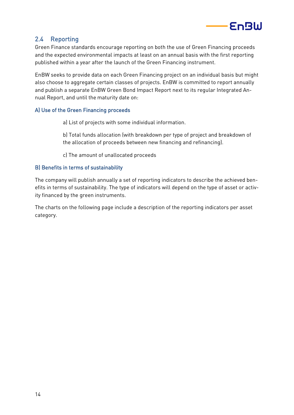

# <span id="page-13-0"></span>2.4 Reporting

Green Finance standards encourage reporting on both the use of Green Financing proceeds and the expected environmental impacts at least on an annual basis with the first reporting published within a year after the launch of the Green Financing instrument.

EnBW seeks to provide data on each Green Financing project on an individual basis but might also choose to aggregate certain classes of projects. EnBW is committed to report annually and publish a separate EnBW Green Bond Impact Report next to its regular Integrated Annual Report, and until the maturity date on:

### A) Use of the Green Financing proceeds

- a) List of projects with some individual information.
- b) Total funds allocation (with breakdown per type of project and breakdown of the allocation of proceeds between new financing and refinancing).
- c) The amount of unallocated proceeds

#### B) Benefits in terms of sustainability

The company will publish annually a set of reporting indicators to describe the achieved benefits in terms of sustainability. The type of indicators will depend on the type of asset or activity financed by the green instruments.

The charts on the following page include a description of the reporting indicators per asset category.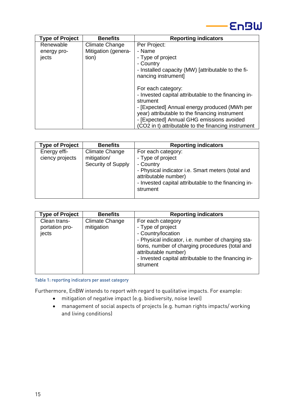

| <b>Type of Project</b> | <b>Benefits</b>       | <b>Reporting indicators</b>                          |
|------------------------|-----------------------|------------------------------------------------------|
| Renewable              | <b>Climate Change</b> | Per Project:                                         |
| energy pro-            | Mitigation (genera-   | - Name                                               |
| jects                  | tion)                 | - Type of project                                    |
|                        |                       | - Country                                            |
|                        |                       | - Installed capacity (MW) [attributable to the fi-   |
|                        |                       | nancing instrument]                                  |
|                        |                       |                                                      |
|                        |                       | For each category:                                   |
|                        |                       | - Invested capital attributable to the financing in- |
|                        |                       | strument                                             |
|                        |                       | - [Expected] Annual energy produced (MWh per         |
|                        |                       | year) attributable to the financing instrument       |
|                        |                       | - [Expected] Annual GHG emissions avoided            |
|                        |                       | (CO2 in t) attributable to the financing instrument  |

| <b>Type of Project</b>          | <b>Benefits</b>                                     | <b>Reporting indicators</b>                                                                                                                                                                           |
|---------------------------------|-----------------------------------------------------|-------------------------------------------------------------------------------------------------------------------------------------------------------------------------------------------------------|
| Energy effi-<br>ciency projects | Climate Change<br>mitigation/<br>Security of Supply | For each category:<br>- Type of project<br>- Country<br>- Physical indicator i.e. Smart meters (total and<br>attributable number)<br>- Invested capital attributable to the financing in-<br>strument |
|                                 |                                                     |                                                                                                                                                                                                       |

| <b>Type of Project</b>                  | <b>Benefits</b>              | <b>Reporting indicators</b>                                                                                                                                                                                                                                       |
|-----------------------------------------|------------------------------|-------------------------------------------------------------------------------------------------------------------------------------------------------------------------------------------------------------------------------------------------------------------|
| Clean trans-<br>portation pro-<br>jects | Climate Change<br>mitigation | For each category<br>- Type of project<br>- Country/location<br>- Physical indicator, i.e. number of charging sta-<br>tions, number of charging procedures (total and<br>attributable number)<br>- Invested capital attributable to the financing in-<br>strument |

Table 1: reporting indicators per asset category

Furthermore, EnBW intends to report with regard to qualitative impacts. For example:

- mitigation of negative impact (e.g. biodiversity, noise level)
- management of social aspects of projects (e.g. human rights impacts/ working and living conditions)